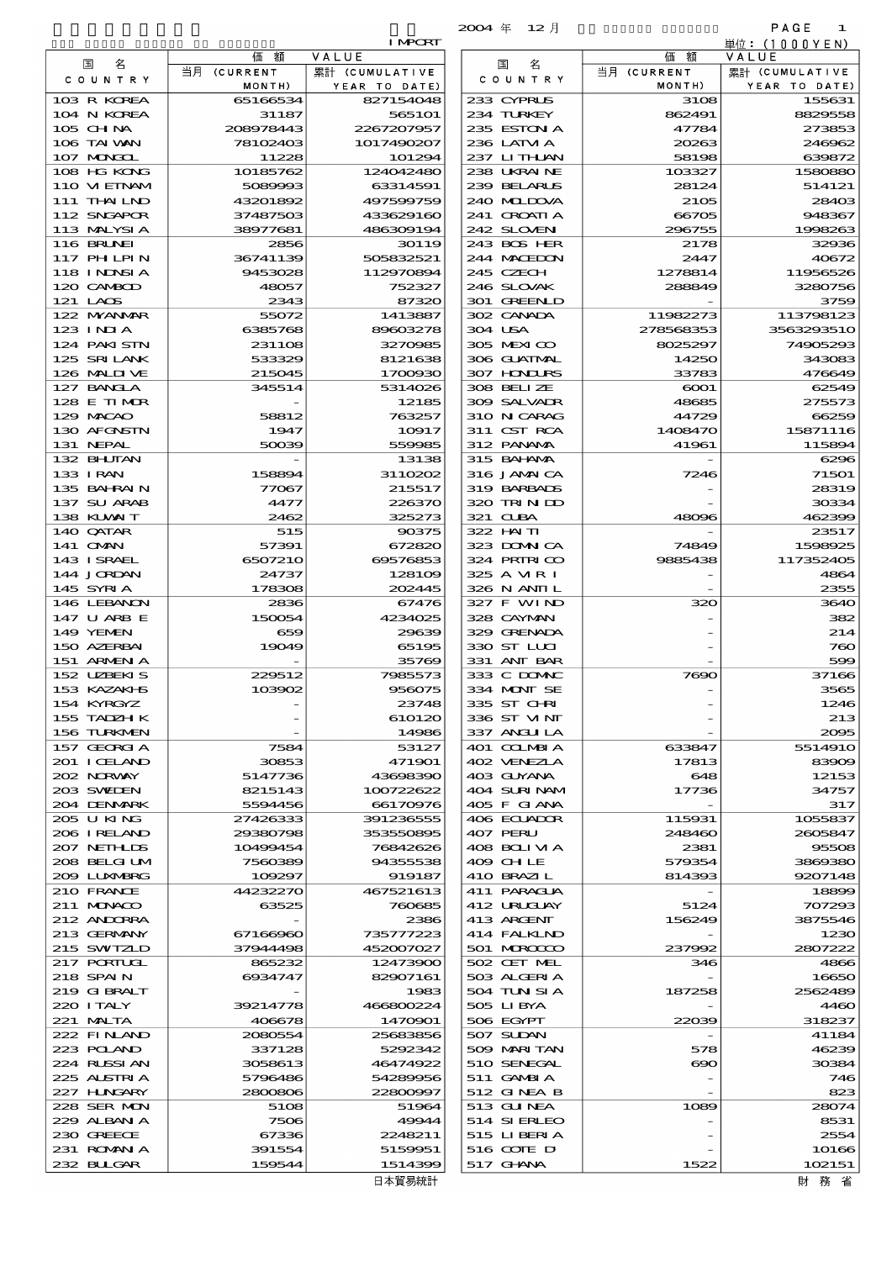|                   | 2004年<br>- 12月             |                          | PAGE<br>1               |
|-------------------|----------------------------|--------------------------|-------------------------|
| т                 |                            | 額                        | 単位:(1000YEN)            |
|                   | 名<br>国                     | 価<br>当月 (CURRENT         | VALUE<br>累計 (CUMULATIVE |
| :)                | C O U N T R Y              | MONTH)                   | YEAR<br>TO DATE)        |
| 8                 | 233 CYPRUS                 | 3108                     | 155631                  |
| 1                 | 234 TURKEY                 | 862491                   | 8829558                 |
| 7                 | 235 ESTON A                | 47784                    | 273853                  |
| 17                | 236 LATM A<br>237 LITHAN   | 20263<br>58198           | 246962<br>639872        |
| 4<br>o            | 238 UKRAINE                | 103327                   | 1580880                 |
| 1                 | 239 BELARUS                | 28124                    | 514121                  |
| 9                 | 240 MIDOVA                 | 2105                     | 28403                   |
| o                 | 241 CROATIA                | 66705                    | 948367                  |
| 4                 | 242 SLOVEN                 | 296755                   | 1998263                 |
| 9                 | 243 BOS HER                | 2178                     | 32936                   |
| $\mathbf{1}$<br>4 | 244 MACEDON<br>245 CZECH   | 2447<br>1278814          | 40672<br>11956526       |
| 7                 | 246 SLOVAK                 | 288849                   | 3280756                 |
| O                 | 301 GREENLD                |                          | 3759                    |
| 7                 | 302 CANADA                 | 11982273                 | 113798123               |
| 8                 | 304 USA                    | 278568353                | 3563293510              |
| 5                 | 305 MEXICO                 | 8025297                  | 74905293                |
| 8                 | 306 GUATMAL                | 14250                    | 343083                  |
| o<br>6            | 307 HONDURS<br>308 BELLZE  | 33783<br>$\rm{6001}$     | 476649<br>62549         |
| 5                 | 309 SALVADR                | 48685                    | 275573                  |
| 7                 | 310 N CARAG                | 44729                    | 66259                   |
| 7                 | 311 CST RCA                | 1408470                  | 15871116                |
| 5                 | 312 PANAMA                 | 41961                    | 115894                  |
| 8                 | 315 BAI ANA                |                          | 6296                    |
| e                 | 316 JAMAICA                | 7246                     | 71501                   |
| 7                 | 319 BARBADS<br>320 TRINDO  |                          | 28319<br>30334          |
| o<br>з            | 321 CUBA                   | 48096                    | 462399                  |
| 5                 | 322 HAITI                  |                          | 23517                   |
| o                 | 323 DOMNICA                | 74849                    | 1598925                 |
| з                 | 324 PRIRICO                | 9885438                  | 117352405               |
| Θ                 | 325 A MR I                 |                          | 4864                    |
| 5                 | 326 N ANII L               | $\overline{\phantom{0}}$ | 2355                    |
| 6<br>5            | 327 F WIND<br>328 CAYMAN   | 320                      | 3640                    |
| 9                 | 329 GRENADA                |                          | 382<br>214              |
| б                 | 330 ST LLCI                |                          | 760                     |
| 9                 | 331 ANT BAR                |                          | 599                     |
| з                 | 333 C DOMAC                | 7690                     | 37166                   |
| 5                 | 334 MNT SE                 |                          | 3565                    |
| 8                 | 335 ST CHRI                |                          | 1246                    |
| o<br>6            | 336 ST VINT<br>337 ANGLILA |                          | 213<br>2005             |
| 7                 | 401 COLMBIA                | 633847                   | 5514910                 |
| 1                 | 402 VENEZIA                | 17813                    | 83909                   |
| о                 | 403 GUYANA                 | 648                      | 12153                   |
| 2                 | 404 SURINAM                | 17736                    | 34757                   |
| 6                 | 405 F GIANA                | $\overline{\phantom{a}}$ | 317                     |
| 5                 | 406 ECUADOR                | 115931                   | 1055837                 |
| 5<br>6            | 407 PERU<br>408 BOLIVIA    | 248460<br>2381           | 2605847<br>95508        |
| 8                 | 409 CHLE                   | 579354                   | 3869380                 |
| 7                 | 410 BRAZIL                 | 814393                   | 9207148                 |
| з                 | 411 PARAGUA                |                          | 18899                   |
| 5                 | 412 URUCUAY                | 5124                     | 707293                  |
| 6                 | 413 ARGENT                 | 156249                   | 3875546                 |
| з                 | 414 FALKLND                |                          | 1230                    |
| 7<br>o            | 501 MROCCO<br>502 CET MEL  | 237992<br>346            | 2807222<br>4866         |
| i1                | 503 ALGERIA                |                          | 16650                   |
| з                 | 504 TUN SI A               | 187258                   | 2562489                 |
| 4                 | 505 LIBYA                  |                          | 4460                    |
| 1                 | 506 EGYPT                  | 22039                    | 318237                  |
| 6                 | 507 SUDAN                  | $\overline{a}$           | 41184                   |
| 2                 | 509 MARITAN                | 578                      | 46239                   |
| 2                 | 510 SENEGAL                | ൈ                        | 30384                   |
| 6<br>7            | 511 GAMBIA<br>512 GINEA B  |                          | 746<br>823              |
| 4                 | 513 GUNEA                  | 1089                     | 28074                   |
| 4                 | 514 SI ERLEO               |                          | 8531                    |
| 1                 | 515 LI BERI A              |                          | 2554                    |
|                   |                            |                          |                         |

|                              |                       | <b>I MPORT</b>          |                            |                       | 単位: (1000YEN)            |
|------------------------------|-----------------------|-------------------------|----------------------------|-----------------------|--------------------------|
| 国<br>名                       | 額<br>価<br>当月 (CURRENT | VALUE<br>累計 (CUMULATIVE | 国<br>名                     | 価額<br>当月 (CURRENT     | VALUE<br>累計 (CUMULATIVE  |
| COUNTRY                      | MONTH)                | YEAR TO DATE)           | COUNTRY                    | MONTH)                | YEAR TO DATE)            |
| 103 R KOREA                  | 65166534              | 827154048               | 233 CYPRUS                 | 3108                  | 155631                   |
| 104 N KOREA                  | 31187                 | 565101                  | 234 TURKEY                 | 862491                | 8829558                  |
| 105 CHNA                     | 208978443             | 2267207957              | 235 ESTON A<br>236 LATM A  | 47784                 | 273853                   |
| 106 TAI WAN<br>107 MONGOL    | 78102403<br>11228     | 1017490207<br>101294    | 237 LITHAN                 | 20263<br>58198        | 246962<br>639872         |
| 108 HG KONG                  | 10185762              | 124042480               | 238 UKRAINE                | 103327                | 1580880                  |
| 110 VIEINAM                  | 5089993               | 63314591                | 239 BELARUS                | 28124                 | 514121                   |
| 111 THAI LND                 | 43201892              | 497599759               | 240 MIDOVA                 | 2105                  | 28400                    |
| 112 SNGAPOR                  | 37487503              | 433629160               | 241 GROATIA                | 66705                 | 948367                   |
| 113 MALYSIA<br>116 BRUNEI    | 38977681<br>2856      | 486309194<br>30119      | 242 SLOVENI<br>243 BOS HER | 296755<br>2178        | 1998263<br>32936         |
| <b>117 PHLPIN</b>            | 36741139              | 505832521               | 244 MACEDON                | 2447                  | 40672                    |
| 118 I NINSI A                | 9453028               | 112970894               | 245 CZECH                  | 1278814               | 11956526                 |
| 120 CAMBOD                   | 48057                 | 752327                  | 246 SLOVAK                 | 288849                | 3280756                  |
| 121 LACS                     | 2343                  | 87320                   | 301 GREENLD                |                       | 3759                     |
| 122 MYANMAR                  | 55072                 | 1413887                 | 302 CANADA                 | 11982273              | 113798123                |
| $123$ INJA<br>124 PAKISTN    | 6385768<br>231108     | 89603278<br>3270985     | 304 USA<br>305 MEXICO      | 278568353<br>8025297  | 3563293510<br>74905290   |
| 125 SRILANK                  | 533329                | 8121638                 | 306 GUATMAL                | 14250                 | 343083                   |
| 126 MALII VE                 | 215045                | 1700930                 | 307 HONDURS                | 33783                 | 476649                   |
| 127 BANCLA                   | 345514                | 5314026                 | 308 BELIZE                 | $\infty$ 01           | 62549                    |
| 128 E TIMOR                  |                       | 12185                   | 309 SALVAIR                | 48685                 | 275573                   |
| 129 MACAO                    | 58812                 | 763257                  | 310 N CARAG                | 44729                 | 66259                    |
| 130 AFGNSTN<br>131 NEPAL     | 1947<br>50039         | 10917<br>559985         | 311 CST RCA<br>312 PANAMA  | 1408470<br>41961      | 15871116<br>115894       |
| 132 BHUTAN                   |                       | 13138                   | 315 BAI ANA                |                       | 6296                     |
| 133 I RAN                    | 158894                | 3110202                 | 316 JAMAICA                | 7246                  | 71501                    |
| 135 BAHRAIN                  | 77067                 | 215517                  | 319 BARBADS                |                       | 28319                    |
| 137 SU ARAB                  | 4477                  | 226370                  | 320 TRIN ID                |                       | 30334                    |
| 138 KUWAIT                   | 2462                  | 325273                  | 321 CUBA                   | 48096                 | 462396                   |
| 140 QATAR                    | 515                   | 90375                   | 322 HAITI                  |                       | 23517                    |
| 141 <b>OMN</b><br>143 ISRAEL | 57391<br>6507210      | 672820<br>69576853      | 323 DOMNICA<br>324 PRIRICO | 74849<br>9885438      | 1598925<br>117352406     |
| 144 JORDAN                   | 24737                 | 128109                  | 325 A VIR I                |                       | 4864                     |
| 145 SYRIA                    | 178308                | 202445                  | 326 N ANII L               |                       | 2355                     |
| 146 LEBANON                  | 2836                  | 67476                   | 327 F WIND                 | 320                   | 3640                     |
| 147 U ARB E                  | 150054                | 4234025                 | 328 CAYMAN                 |                       | 382                      |
| 149 YEMEN                    | 659                   | 29639                   | 329 GRENADA                |                       | 214                      |
| 150 AZERBAI<br>151 ARMENIA   | 19049                 | 65195<br>35769          | 330 ST LUI<br>331 ANT BAR  |                       | $7\alpha$<br>500         |
| 152 UZBEKIS                  | 229512                | 7985573                 | 333 C DOMAC                | 7690                  | 37166                    |
| 153 KAZAKI B                 | 103902                | 956075                  | 334 MONT SE                |                       | 3565                     |
| 154 KYRGYZ                   |                       | 23748                   | 335 ST CHRI                |                       | 1246                     |
| 155 TADZH K                  |                       | 610120                  | 336 ST VINT                |                       | 213                      |
| 156 TURKMEN                  |                       | 14986                   | 337 ANGLILA                |                       | 2000                     |
| 157 GEORGIA<br>201 I CELAND  | 7584<br>30853         | 53127<br>471901         | 401 COLMBIA<br>402 VENEZIA | 633847<br>17813       | 5514910<br>8390 <b>C</b> |
| 202 NORWAY                   | 5147736               | 43698390                | 403 GUYANA                 | 648                   | 12153                    |
| 203 SWIDEN                   | 8215143               | 100722622               | 404 SURINAM                | 17736                 | 34757                    |
| 204 DENMARK                  | 5594456               | 66170976                | 405 F GIANA                |                       | 317                      |
| 205 U KING                   | 27426333              | 391236555               | 406 ECUADOR                | 115931                | 1055837                  |
| 206 I RELAND<br>207 NETH LIS | 29380798<br>10499454  | 353550895<br>76842626   | 407 PERU<br>408 BOLIVIA    | 248460<br>2381        | 2605847<br>95506         |
| 208 BELGI UM                 | 7560389               | 94355538                | 409 CHLE                   | 579354                | 3869380                  |
| 209 LUNABRG                  | 109297                | 919187                  | 410 BRAZIL                 | 814393                | 9207148                  |
| 210 FRANCE                   | 44232270              | 467521613               | 411 PARAGUA                |                       | 18899                    |
| 211 MUNACO                   | 63525                 | 760685                  | 412 URUGUAY                | 5124                  | 707290                   |
| 212 ANDORRA                  |                       | 2386                    | 413 ARGENT                 | 156249                | 3875546                  |
| 213 GERMANY<br>215 SWIZLD    | 67166960<br>37944498  | 735777223<br>452007027  | 414 FALKLND<br>501 MROCCO  | 237992                | 1230<br>2807222          |
| 217 PORTUGL                  | 865232                | 12473900                | 502 CET MEL                | 346                   | 4866                     |
| 218 SPAIN                    | 6934747               | 82907161                | 503 ALGERIA                |                       | 16650                    |
| 219 GIBRALT                  |                       | 1983                    | 504 TUN SI A               | 187258                | 2562489                  |
| 220 I TALY                   | 39214778              | 466800224               | 505 LIBYA                  |                       | 4460                     |
| 221 MALTA                    | 406678                | 1470901                 | 506 EGYPT                  | 22039                 | 318237                   |
| 222 FINLAND<br>223 POLAND    | 2080554<br>337128     | 25683856<br>5292342     | 507 SUDAN<br>509 MARITAN   | 578                   | 41184<br>46239           |
| 224 RUSSI AN                 | 3058613               | 46474922                | 510 SENEGAL                | $\boldsymbol{\infty}$ | 30384                    |
| 225 ALSTRIA                  | 5796486               | 54289956                | 511 GAMBIA                 |                       | 746                      |
| 227 H.NGARY                  | 2800806               | 22800997                | 512 GINEA B                |                       | 82.                      |
| 228 SER MON                  | 5108                  | 51964                   | 513 GUNEA                  | 1089                  | 28074                    |
| 229 ALBAN A                  | 7506                  | 49944                   | 514 SIERLEO                |                       | 8531                     |
| 230 GREECE<br>231 ROMANIA    | 67336<br>391554       | 2248211<br>5159951      | 515 LIBERIA<br>516 COTE D  |                       | 2554<br>10166            |
| 232 BLLGAR                   | 159544                | 1514399                 | 517 GHNA                   | 1522                  | 102151                   |
|                              |                       | 日本貿易統計                  |                            |                       | 財 務 省                    |

財務省